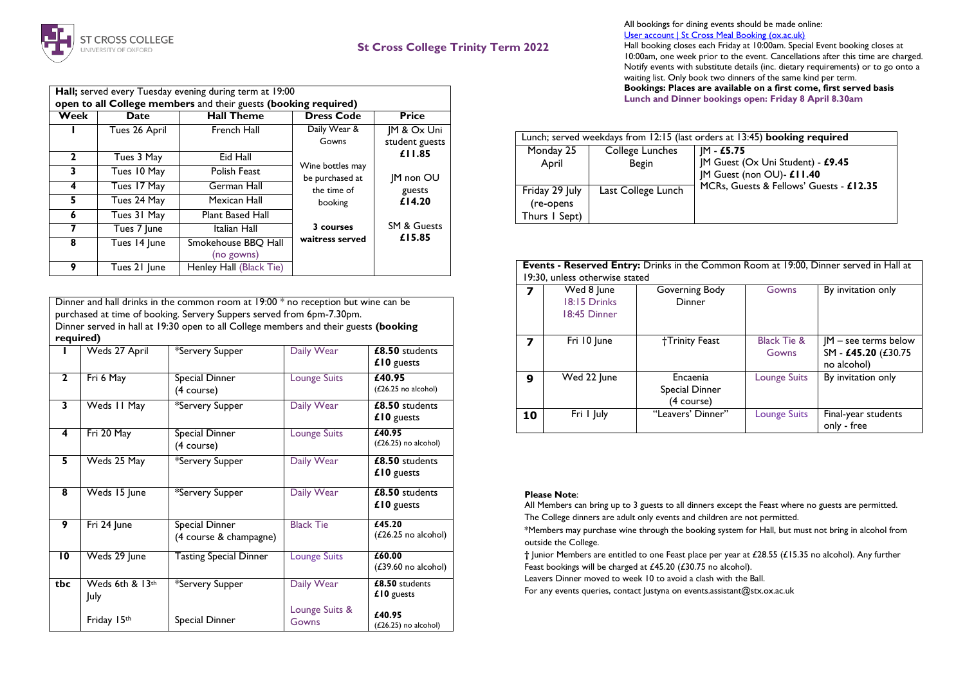

## **St Cross College Trinity Term 2022**

| Hall; served every Tuesday evening during term at 19:00         |               |                         |                                     |                        |  |  |
|-----------------------------------------------------------------|---------------|-------------------------|-------------------------------------|------------------------|--|--|
| open to all College members and their guests (booking required) |               |                         |                                     |                        |  |  |
| Week                                                            | Date          | <b>Hall Theme</b>       | <b>Dress Code</b>                   | <b>Price</b>           |  |  |
|                                                                 | Tues 26 April | French Hall             | Daily Wear &                        | IM & Ox Uni            |  |  |
|                                                                 |               |                         | Gowns                               | student guests         |  |  |
| $\mathbf{2}$                                                    | Tues 3 May    | Eid Hall                |                                     | £11.85                 |  |  |
| 3                                                               | Tues 10 May   | Polish Feast            | Wine bottles may<br>be purchased at | <b>IM non OU</b>       |  |  |
| 4                                                               | Tues 17 May   | German Hall             | the time of                         | guests                 |  |  |
| 5.                                                              | Tues 24 May   | Mexican Hall            | booking                             | £14.20                 |  |  |
| 6                                                               | Tues 31 May   | <b>Plant Based Hall</b> |                                     |                        |  |  |
| 7                                                               | Tues 7 June   | Italian Hall            | 3 courses                           | <b>SM &amp; Guests</b> |  |  |
| 8                                                               | Tues 14 June  | Smokehouse BBQ Hall     | waitress served                     | £15.85                 |  |  |
|                                                                 |               | (no gowns)              |                                     |                        |  |  |
| 9                                                               | Tues 21 June  | Henley Hall (Black Tie) |                                     |                        |  |  |

Dinner and hall drinks in the common room at 19:00 \* no reception but wine can be purchased at time of booking. Servery Suppers served from 6pm-7.30pm. Dinner served in hall at 19:30 open to all College members and their guests **(booking required)**

|                | Weds 27 April           | *Servery Supper                          | Daily Wear              | £8.50 students<br>£10 guests            |
|----------------|-------------------------|------------------------------------------|-------------------------|-----------------------------------------|
| $\overline{2}$ | Fri 6 May               | Special Dinner<br>(4 course)             | <b>Lounge Suits</b>     | £40.95<br>$(L26.25$ no alcohol)         |
| 3              | Weds II May             | *Servery Supper                          | Daily Wear              | £8.50 students<br>£10 guests            |
| 4              | Fri 20 May              | Special Dinner<br>(4 course)             | <b>Lounge Suits</b>     | £40.95<br>$(L26.25)$ no alcohol)        |
| 5              | Weds 25 May             | *Servery Supper                          | Daily Wear              | £8.50 students<br>£10 guests            |
| 8              | Weds 15 June            | *Servery Supper                          | Daily Wear              | £8.50 students<br>£10 guests            |
| 9              | Fri 24 June             | Special Dinner<br>(4 course & champagne) | <b>Black Tie</b>        | £45.20<br>$(E26.25 \text{ no alcohol})$ |
| 10             | Weds 29 June            | <b>Tasting Special Dinner</b>            | <b>Lounge Suits</b>     | £60.00<br>$(£39.60$ no alcohol)         |
| tbc            | Weds 6th & 13th<br>July | *Servery Supper                          | Daily Wear              | £8.50 students<br>£10 guests            |
|                | Friday 15th             | Special Dinner                           | Lounge Suits &<br>Gowns | £40.95<br>$(L26.25)$ no alcohol)        |

All bookings for dining events should be made online: [User account | St Cross Meal Booking \(ox.ac.uk\)](https://booking.stx.ox.ac.uk/user/login?destination=bookings)

Hall booking closes each Friday at 10:00am. Special Event booking closes at 10:00am, one week prior to the event. Cancellations after this time are charged. Notify events with substitute details (inc. dietary requirements) or to go onto a waiting list. Only book two dinners of the same kind per term. **Bookings: Places are available on a first come, first served basis Lunch and Dinner bookings open: Friday 8 April 8.30am**

| Lunch; served weekdays from 12:15 (last orders at 13:45) <b>booking required</b> |                    |                                         |  |  |  |  |
|----------------------------------------------------------------------------------|--------------------|-----------------------------------------|--|--|--|--|
| Monday 25                                                                        | College Lunches    | IM - £5.75                              |  |  |  |  |
| April                                                                            | <b>Begin</b>       | JM Guest (Ox Uni Student) - £9.45       |  |  |  |  |
|                                                                                  |                    | JM Guest (non OU)- £11.40               |  |  |  |  |
| Friday 29 July                                                                   | Last College Lunch | MCRs, Guests & Fellows' Guests - £12.35 |  |  |  |  |
| (re-opens                                                                        |                    |                                         |  |  |  |  |
| Thurs I Sept)                                                                    |                    |                                         |  |  |  |  |

|        | Tues 21 June             | Henley Hall (Black Tie)                                                                                                                                                                                                                    |                                   |                                                    |    | 19:30, unless otherwise stated             | Events - Reserved Entry: Drinks in the Common Room at 19:00, Dinner served in Hall at |                                 |                                                              |
|--------|--------------------------|--------------------------------------------------------------------------------------------------------------------------------------------------------------------------------------------------------------------------------------------|-----------------------------------|----------------------------------------------------|----|--------------------------------------------|---------------------------------------------------------------------------------------|---------------------------------|--------------------------------------------------------------|
|        |                          | ner and hall drinks in the common room at $19:00*$ no reception but wine can be<br>chased at time of booking. Servery Suppers served from 6pm-7.30pm.<br>ner served in hall at 19:30 open to all College members and their guests (booking |                                   |                                                    |    | Wed 8 June<br>18:15 Drinks<br>18:45 Dinner | Governing Body<br>Dinner                                                              | Gowns                           | By invitation only                                           |
| uired) | Weds 27 April            | *Servery Supper                                                                                                                                                                                                                            | Daily Wear                        | £8.50 students<br>$£10$ guests                     |    | Fri 10 June                                | †Trinity Feast                                                                        | <b>Black Tie &amp;</b><br>Gowns | $IM - see terms below$<br>SM - £45.20 (£30.75<br>no alcohol) |
|        | Fri 6 May<br>Weds II May | Special Dinner<br>(4 course)<br>*Servery Supper                                                                                                                                                                                            | <b>Lounge Suits</b><br>Daily Wear | £40.95<br>$(L26.25)$ no alcohol)<br>£8.50 students | 9  | Wed 22 June                                | Encaenia<br>Special Dinner<br>(4 course)                                              | <b>Lounge Suits</b>             | By invitation only                                           |
|        | $F \cdot 20 \text{ M}$   | <b>Constitution</b>                                                                                                                                                                                                                        | The Company Contract              | $£10$ guests<br>$\sqrt{40.05}$                     | 10 | Fri I July                                 | "Leavers' Dinner"                                                                     | <b>Lounge Suits</b>             | Final-year students<br>only - free                           |

## **Please Note**:

All Members can bring up to 3 guests to all dinners except the Feast where no guests are permitted. The College dinners are adult only events and children are not permitted.

\*Members may purchase wine through the booking system for Hall, but must not bring in alcohol from outside the College.

**†** Junior Members are entitled to one Feast place per year at £28.55 (£15.35 no alcohol). Any further Feast bookings will be charged at £45.20 (£30.75 no alcohol).

Leavers Dinner moved to week 10 to avoid a clash with the Ball.

For any events queries, contact Justyna on events.assistant@stx.ox.ac.uk